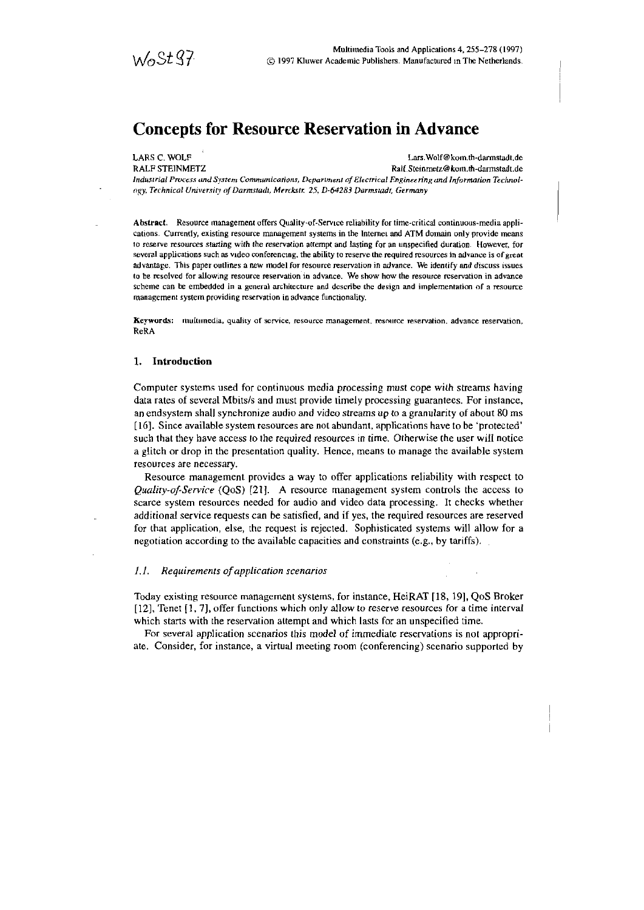# **Concepts for Resource Reservation in Advance**

**LARS C. WOLF** Lars. Wolf@kom.th-darmstadt.de **RALF STEINMETZ** Ralf.Steinmetz@kom.th-darmstadt.de Industrial Process and System Communications, Department of Electrical Engineering and Information Technology, Technical University of Darmstadt, Merckstr. 25, D-64283 Darmstadt, Germany

Abstract. Resource management offers Quality of Service reliability for time-critical continuous-media applications. Currently, existing resource management systems in the Internet and ATM domain only provide means to reserve resources starting with the reservation attempt and lasting for an unspecified duration. However, for several applications such as video conferencing, the ability to reserve the required resources in advance is of great advantage. This paper outlines a new model for resource reservation in advance. We identify and discuss issues to be resolved for allowing resource reservation in advance. We show how the resource reservation in advance scheme can be embedded in a general architecture and describe the design and implementation of a resource management system providing reservation in advance functionality.

Keywords: multimedia, quality of service, resource management, resource reservation, advance reservation, ReRA

# 1. Introduction

Computer systems used for continuous media processing must cope with streams having data rates of several Mbits/s and must provide timely processing guarantees. For instance, an endsystem shall synchronize audio and video streams up to a granularity of about 80 ms [16]. Since available system resources are not abundant, applications have to be 'protected' such that they have access to the required resources in time. Otherwise the user will notice a glitch or drop in the presentation quality. Hence, means to manage the available system resources are necessary.

Resource management provides a way to offer applications reliability with respect to Quality-of-Service (QoS) [21]. A resource management system controls the access to scarce system resources needed for audio and video data processing. It checks whether additional service requests can be satisfied, and if yes, the required resources are reserved for that application, else, the request is rejected. Sophisticated systems will allow for a negotiation according to the available capacities and constraints (e.g., by tariffs).

### 1.1. Requirements of application scenarios

Today existing resource management systems, for instance, HeiRAT [18, 19], QoS Broker [12], Tenet [1, 7], offer functions which only allow to reserve resources for a time interval which starts with the reservation attempt and which lasts for an unspecified time.

For several application scenarios this model of immediate reservations is not appropriate. Consider, for instance, a virtual meeting room (conferencing) scenario supported by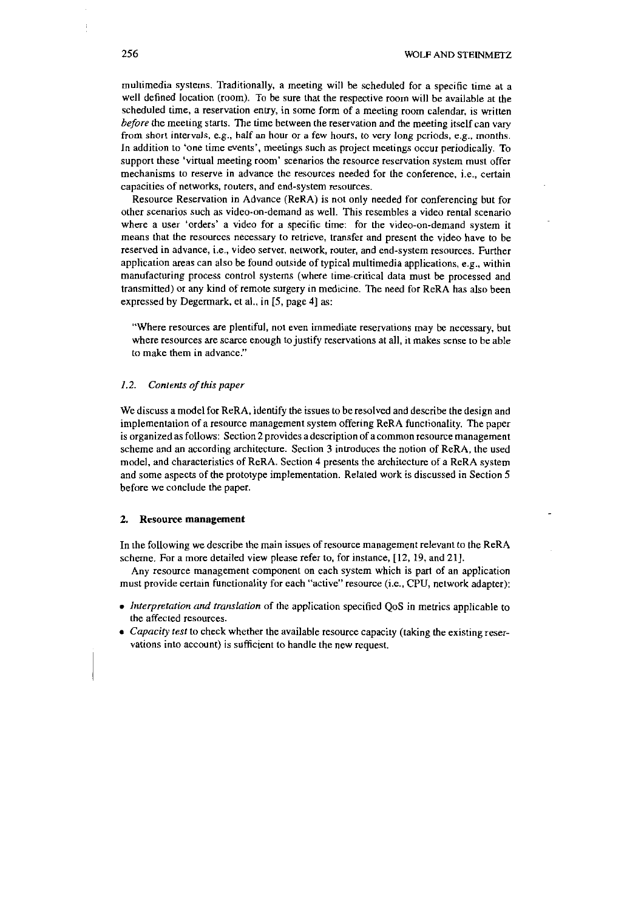multimedia systems. Traditionally. a meeting will he scheduled for a specific time at a well defined location (room). To be sure that the respective room will be available at the scheduled time, a reservation entry, in some form of a meeting room calendar, is written *before* the meeting starts. The time between the reservation and the meeting itself can vary from short intervals. e.g., half **an** hour or a few hours, to very long pcriods, e.g., months. In addition to 'one time events', meetings such as project meetings occur periodicaliy. To Support these 'virtual meeting room' scenarios the resource reservation system must offer mechanisms to reserve in advance the resources needed for the conference, i.e., certain capacities of networks. routers, and end-system resources.

Resource Reservation in Advance (ReRA) is not only needed for conferencing but for other scenarios such as video-on-demand as well. This resembles a video rental Scenario where a user 'orders' a video for a specific time: for the video-on-demand system it means that the resources necessary to retrieve, transfer and present the video have to be reserved in advance, i.e., video server, network, router, and end-system resources. Further application areas can also he found outside of typical multimedia applications, e.g., within manufacturing process control systems (where time-critical data must he processed and transmitted) or any kind of remote surgery in medicine. The need for ReRA has also heen expressed by Degermark, et al., in [5, page 4] as:

"Where resources are plentiful, not even immediate reservations may be necessary, hut where resources are scarce enough to justify reservations at all, it makes sense to be able to make them in advance."

# *1.2. Conrerrts of this paper*

We discuss a model for ReRA, identify the issues to be resolved and describe the design and implementation of a resource management system offering ReRA funclionality. The paper is organized as follows: Section 2 provides a description of a common resource management scheme and an according architecture. Section 3 introduces the notion of ReRA, the used model, and characteristics of ReRA. Section 4 presents the architecture of a ReRA system and some aspects of the prototype implementation. Related work is discussed in Section 5 hefore we conclude the paper.

#### **2. Resouree management**

In the following we describe the main issues of resource management relevant to the ReRA scheme. Fora more detailed view please refer to. for instance, [12, 19, and 211.

Any resource management component on each system which is pari of an application

- must provide certain functionality for each "active" resource (i.e., CPU, network adapter):<br>
*Interpretation and translation* of the application specified QoS in metrics applicable to the effected specified the affected resources.
- *Capaciq fest* to check whether the available resource capacity (taking the existing reservations into account) is sufficient to handle the new request.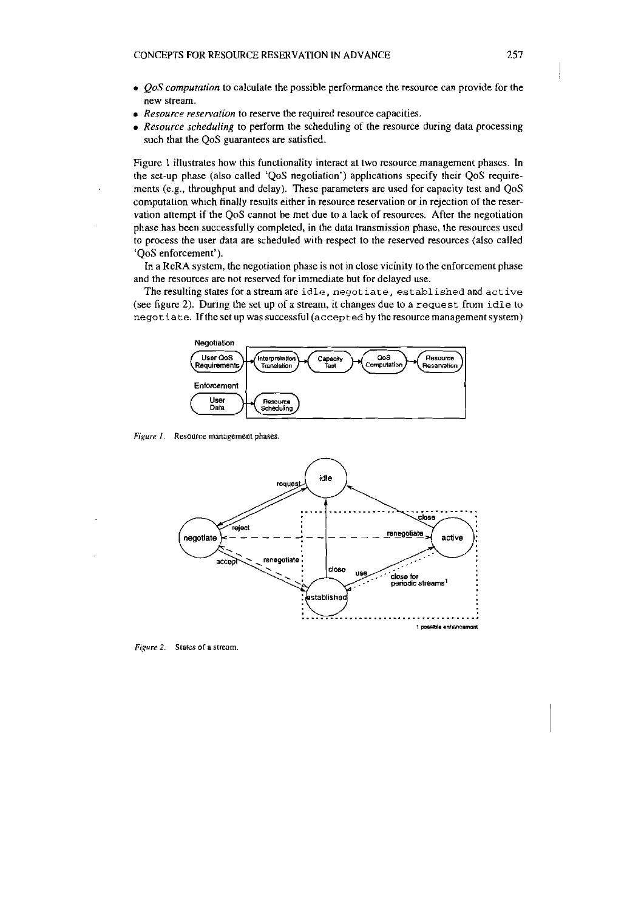- *QoS computation* to calculate the possible performance the resource can provide for the new stream.
- . *Resource reservation* to reserve the required resource capacities.
- . *Resource scheduling* to periorm the scheduling of the resource during data processing such that the QoS guarantees are satisfied.

Figure **1** illustrates how this functionality interact at two resource management phases. In the set-up phase (also called 'QoS negotiation') applications specify their QoS requirements (e.g., throughput and delay). These parameters are used for capacity test and  $\cos$ computation which finally results either in resource reservation or in rejection of the reservation attempt if the QoS cannot be met due to a lack 01 resources. After the negotiation phase has been successfully completed, in the data transmission phase, the resources used to process the User data are scheduled with respect to the resemed resources (also called 'QoS enforcement').

In a ReRA system, the negotiation phase is not in close vicinity to the enforcement phase and the resources are not reserved for immediate but for delayed use.

The resulting states for astreamare idle, negotiate, established and active (see figure 2). During the set up of a stream, it changes due to a request from idle to negotiate. If the set up was successful (accepted hy the resourcemanagement system)



*Figure* **I. Resource mmagemeni phases** 



Figure 2. States of a stream.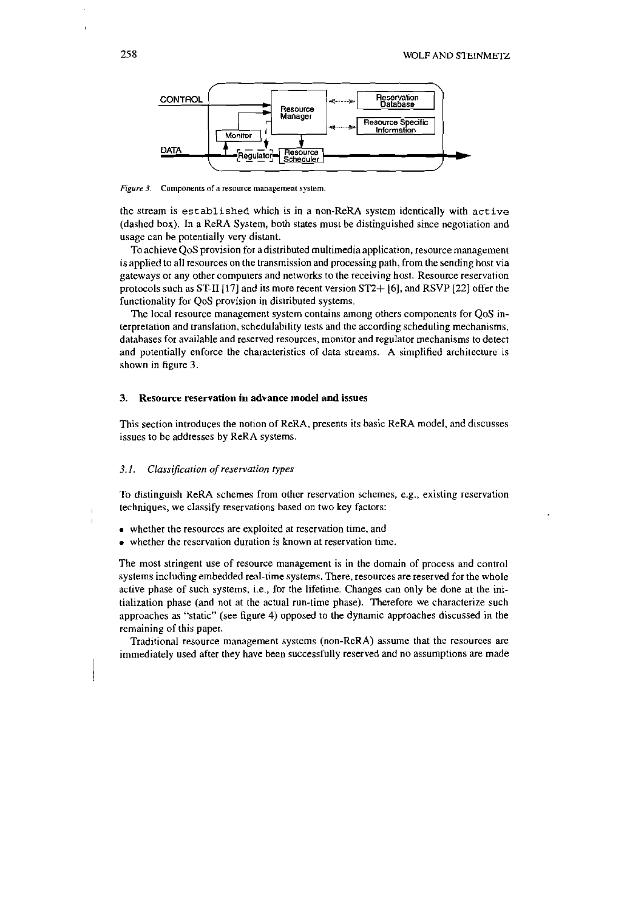

*Figure 3.* Components of a resource management system.

the stream is **established** which is in a non-ReRA system identically with **active**  (dashed box). In a ReRA System. both states musl be distinguished since negotiation and usage can be potentially very distant.

To achieve QoS provision for adistributed multimediaapplication, resource management is applied to all resources on the transmission and processing path, from the sending hast via gateways or any other compuiers and networks to the receiving hast. Resource reservation protocols such as ST-II[17] and its more recent version ST2+ 161. and RSVP **1221** offer the functionality for QoS provision in distributed systems.

The local resource management system contains among others components for QoS interpretalion and translation, schedulability tests and the according scheduling mechanisms, databases for available and reserved resources, monitor and regulator mechanisms to detect and potentially enforce the characleristics of data streams. A simplified architeciure is shown in figure 3.

# **3. Resource mservation in advance model and issues**

This section introduces the norion of ReRA. presents its basic ReRA model, and discusses issues to be addresses by ReRA systems.

#### Classification of reservation types  $3.1.$

To distinguish ReRA schemes from other reservation schemes, e.g., existing reservation techniques, we classify reservations based on two key factors:<br>● whether the resources are exploited at reservation time, and<br>and the classical direct direct direct the contribution

- $\bullet$  whether the resources are exploited at reservation time, and  $\bullet$  whether the reservation duration is known at reservation time.
- 

The most stringent use of resource management is in the domain of process and control systems including embedded real-time systems. There. resources are reserved for the whole active phase of such systems, i.e., for the lifetime. Changes can only be done at the initialization phase (and not at the actual run-time phase). Therefore we characterize such approaches **as** "static" (see figure 4) opposed to the dynamic approaches discussed in the remaining of this paper.

Traditional resource management systems (non-ReRA) assume that the resources are immediately used after they have been successfully reserved and no assumptions are made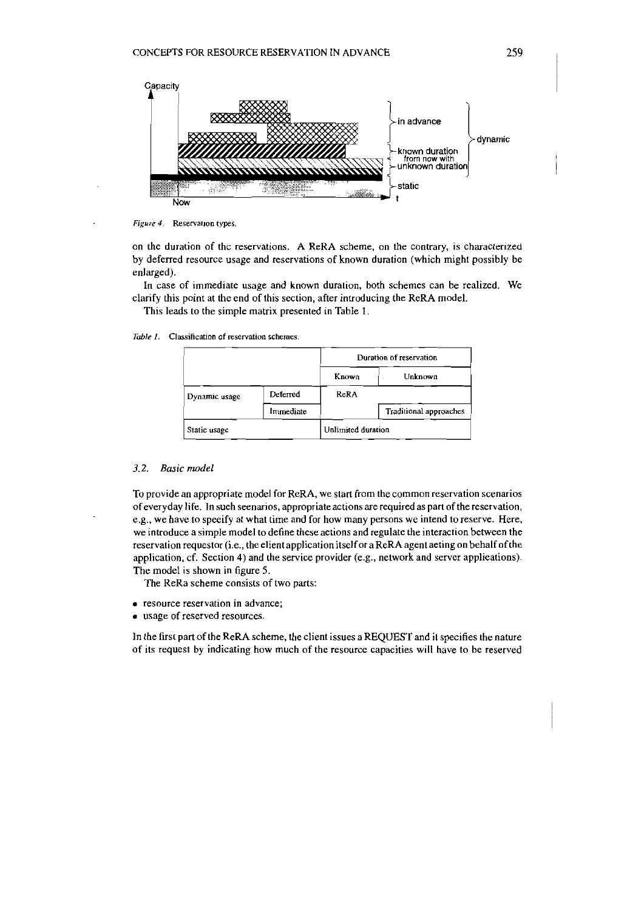

Figure 4. Reservation types.

on the duration of the reservations. A ReRA scheme, on the contrary, is characterized by deferred resource usage and reservations of known duration (which might possibly be enlarged).

In case of immediate usage and known duration, both schemes can be realized. We clarify this point at the end of this section, after introducing the ReRA model.

This leads to the simple matrix presented in Table 1.

Table 1. Classification of reservation schemes.

|               |           |                    | Duration of reservation |  |
|---------------|-----------|--------------------|-------------------------|--|
|               |           | Known              | Unknown                 |  |
| Dynamic usage | Deferred  | ReRA               |                         |  |
|               | Immediate |                    | Traditional approaches  |  |
| Static usage  |           | Unlimited duration |                         |  |

#### **Basic model**  $3.2.$

To provide an appropriate model for ReRA, we start from the common reservation scenarios of everyday life. In such seenarios, appropriate actions are required as part of the reservation, e.g., we have to speeify at what time and for how many persons we intend to reserve. Here, we introduce a simple model to define these aetions and regulate the interaction between the reservation requestor (i.e., the elient application itself or a ReRA agent aeting on behalf of the application, cf. Section 4) and the service provider (e.g., network and server applications). The model is shown in figure 5.

The ReRa scheme consists of two parts:

- resource reservation in advance;
- usage of reserved resources.

In the first part of the ReRA scheme, the client issues a REQUEST and it specifies the nature of its request by indicating how much of the resource capacities will have to be reserved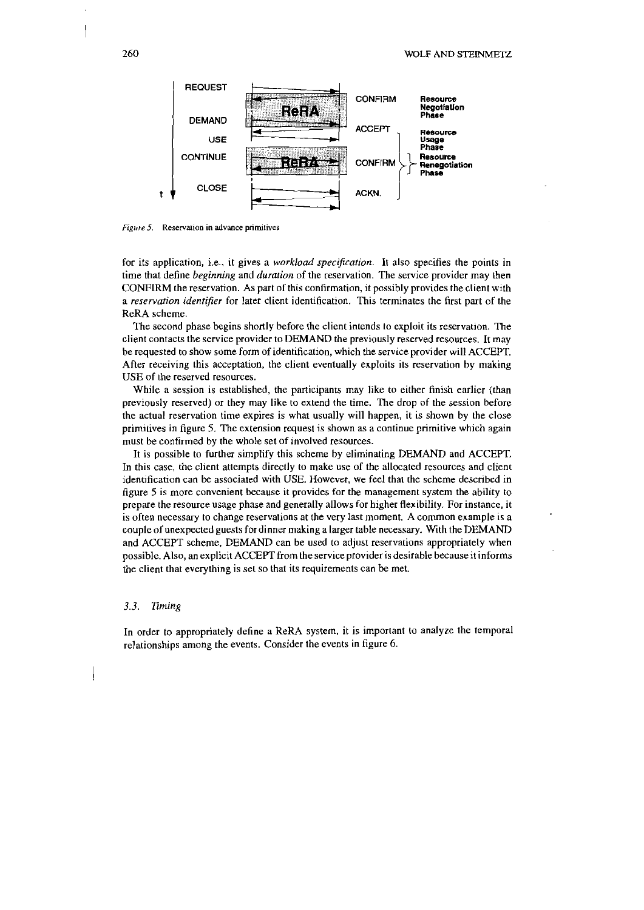

Figure 5. Reservation in advance primitives

for its application, i.e., it gives a workload specification. It also specifies the points in time that define *beginning* and *duration* of the reservation. The service provider may then CONFIRM the reservation. As part of this confirmation, it possibly provides the client with a reservation identifier for later client identification. This terminates the first part of the ReRA scheme.

The second phase begins shortly before the client intends io exploit its reservation. The client contacts the service provider to DEMAND the previously reserved resources. It may be requested to show some form of identification, which the service provider will ACCEPT. After receiving this acceptation, the client eventually exploits its reservation by making USE of the reserved resources.

While a session is established, the participants may like to either finish earlier (than previously reserved) or they may like to extend the time. The drop of the session before the actual reservation time expires is what usually will happen, it is shown by the close primitives in figure 5. The extension request is shown as a continue primitive which again must be confirmed by the whole set of involved resources.

It is possible to further simplify this scheme by eliminating DEMAND and ACCEPT. In this case. the client attempts direcily to make use of the allocated resources and client identification can **be** associated with USE. However, we feel thai the scheme described in figure *5* is more convenient because it provides for the management system the ability to prepare the resource usage phase and generally allows for higher flexibility. For instance. it is often necessary to change reservaiions at the very last moment. A common example is a couple of unexpected guests for dinner making a larger table necessary. With the DEMAND and ACCEPT scheme, DEMAND can be used to adjust reservations appropriately when possible. Also, an explicit ACCEPT from the service provider is desirable because it informs the client that everything is set so that its requirements can be met.

#### $3.3.$ Timing

In order to appropriately define a ReRA system, it is important to analyze the temporal relationships among the events. Consider the events in figure 6.

260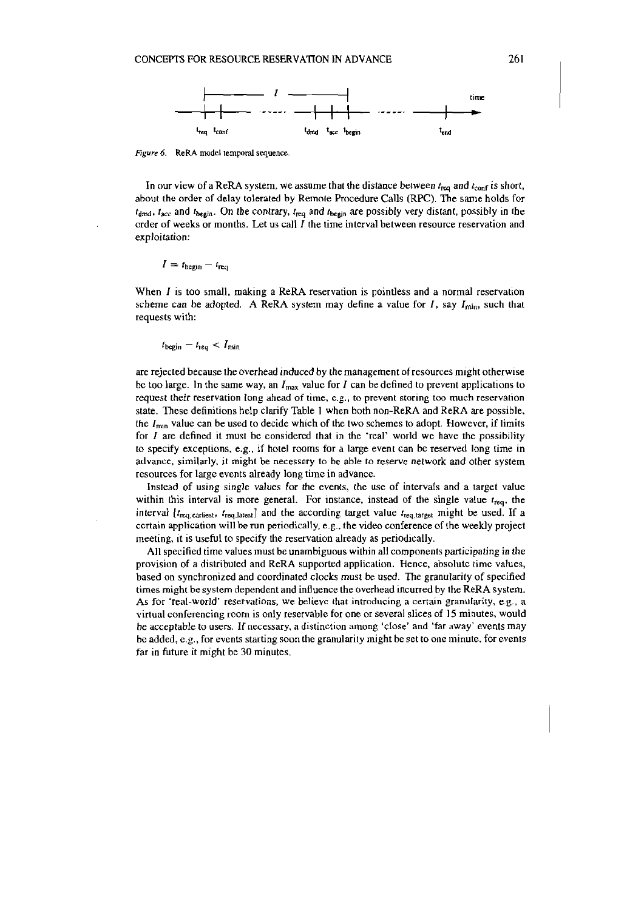

*figure 6.* **ReRA madel temporal sequence.** 

In our view of a ReRA system, we assume that the distance between  $t_{\text{req}}$  and  $t_{\text{conf}}$  is short, about the order of delay tolerated by Remote Procedure Calls (RPC). The same holds for  $t_{\text{dmd}}$ ,  $t_{\text{acc}}$  and  $t_{\text{begin}}$ . On the contrary,  $t_{\text{req}}$  and  $t_{\text{begin}}$  are possibly very distant, possibly in the order of weeks or months. Let us call I the time interval between resource reservation and exploitation:

$$
I = t_{\text{begin}} - t_{\text{req}}
$$

When  $I$  is too small, making a ReRA reservation is pointless and a normal reservation scheme can be adopted. A ReRA system may define a value for  $I$ , say  $I_{\text{min}}$ , such that requests with:

$$
t_{\text{begin}} - t_{\text{req}} < I_{\text{min}}
$$

are rejected because the overhead induced by the management of resources might otherwise be too large. In the same way, an  $I_{\text{max}}$  value for I can be defined to prevent applications to request their reservation long ahead of time, c.g., to prevent storing too much reservaiion state. These definitions help clarify Table 1 when both non-ReRA and ReRA are possible, the  $I_{\text{run}}$  value can be used to decide which of the two schemes to adopt. However, if limits for  $I$  are defined it must be considered that in the 'real' world we have the possibility to specify exceptions, e.g., if hotel rooms for a large event can be reserved long time in advance, similarly, it might be necessary to be able to reserve network and other system resources for large events already long time in advance.

Instead of using single values for he events, the use of intervals and a target value within this interval is more general. For instance, instead of the single value  $t_{\text{req}}$ , the interval  $\{t_{\text{req}, \text{carliest}}\}$ ,  $t_{\text{req}, \text{lastest}}$  and the according target value  $t_{\text{req}, \text{target}}$  might be used. If a ccrtain application will be mn periodically, e.g.. the video conference of the weekly project meeting, it is useful to specify the reservation already as periodically.

All specified time values must be unambiguous within all components participating in the provision of a distributed and KeRA supported application. Hence, absolutc time values, based on synchronized and coordinated clocks must **be** used. The granularily of specified times might be system dependent and influence the overhead incurred by the ReRA system. As for 'real-world' reservations, we believc that intraducing a **cenain** granularity, eg., a virtual conferencing room is only reservable for one or several slices of 15 minutes, would be acceptable to users. If necessary, a distinction among 'close' and 'far away' events may be added, e.g., for events starting soon the granularity might be set to one minute. for events far in future it might be 30 minutes.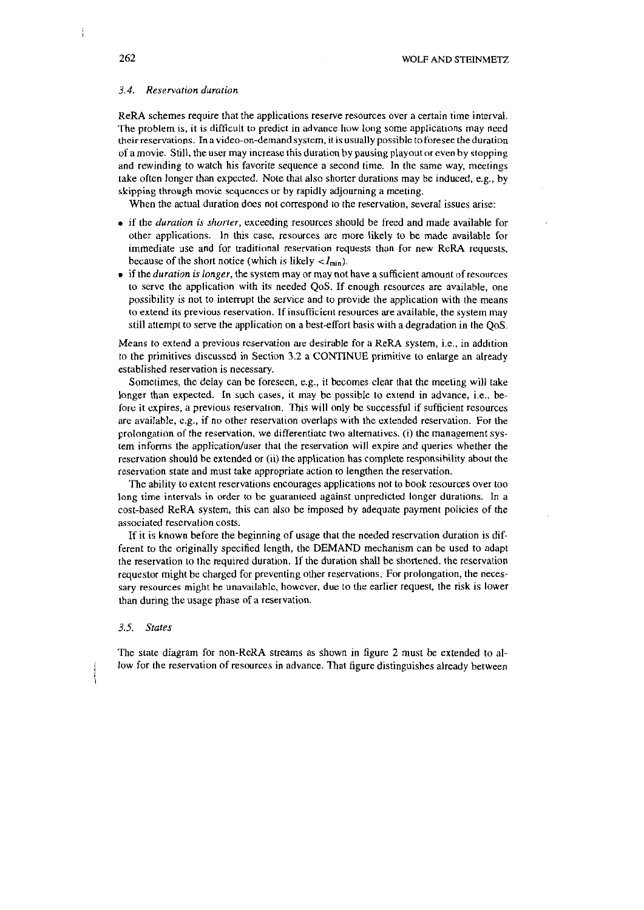### **3.4. Reservation duration**

ReRA schemes require that the applications reserve resources over a certain time interval. The problem is, it is difficult to predict in advance how long some applications may need their reservations. Inavideo-on-demand system. 11 is usually possible toforesee theduration of amovie. Still, the User may increase this duration by pausing playout or even by stopping and rewinding to watch his favorite sequence a second time. In the same way, meetings take often longer than expected. Note that also shorter durations may he induced, e.g., by skipping through movic sequences or hy rapidly adjourning a meeting.

When the actual duration does not correspond to the reservation. several issues arise:

- . if thc **duration is shorrer,** cxceeding resources should be tieed and made available for other applications. In this case, resources are more likely to be made available for immediate use and for traditional reservation requests thon for new ReRA requests, because of the short notice (which is likely  $\langle I_{\text{min}} \rangle$ .
- if the *duration is longer*, the system may or may not have a sufficient amount of resources 10 serve the application with its needed QoS. If enough resources are available, one possibility is not to intempt lhe service and to provide the application with the means to extend its previous reservation. If insufficient resources are available, the system may still attempt to serve the application on a best-effort basis with adegradation in the QoS.

Means to extend a previous reservation are desirable for a ReRA system, i.e., in addition to the primitives discussed in Section **3.2** a CONTINUE primitive to enlarge an already established reservation is necessary.

Sometimes, the delay can be foreseen, e.g., it becomes clear that the meeting will take longer than expected. In such cases, it may be possible to extend in advance, i.e., beiore it expires, a previous reservation. This will only be successful if sufficient resources are available, e.g., if no other reservation overlaps with the extended reservation. For the prolongation of the reservation, we differentiatc two alternatives. (i) the management system informs the application/user that the reservation will expire and queries whether the reservation should be extended or (ii) the application has complete responsihility about the reservation state and must take appropriate action ro lengthen the reservation.

The ability to exlent reservations encourages applications not to book resources over too long time intervals in order to be guaranteed against unpredicted longer durations. In a cost-based ReRA system, this can also be imposed by adequate payment policies of the associated reservation costs.

If it is known before the beginning of usage that the needed reservation duration is different to the originally specified length, the DEMAND mechanism can be used to adapt the reservation 10 the required duration. If the duration shall be shortened. the reservation requestor might be charged for preventing other reservations. For prolongation, the necessary resources might be unavailable, however, due to the earlier request, the risk is lower than during the usage phase of a reservation.

#### 3.5. States

The state diagram for non-ReKA streams as shown in figure 2 must be extended to allow for the reservation of resources in advance. That figure distinguishes already between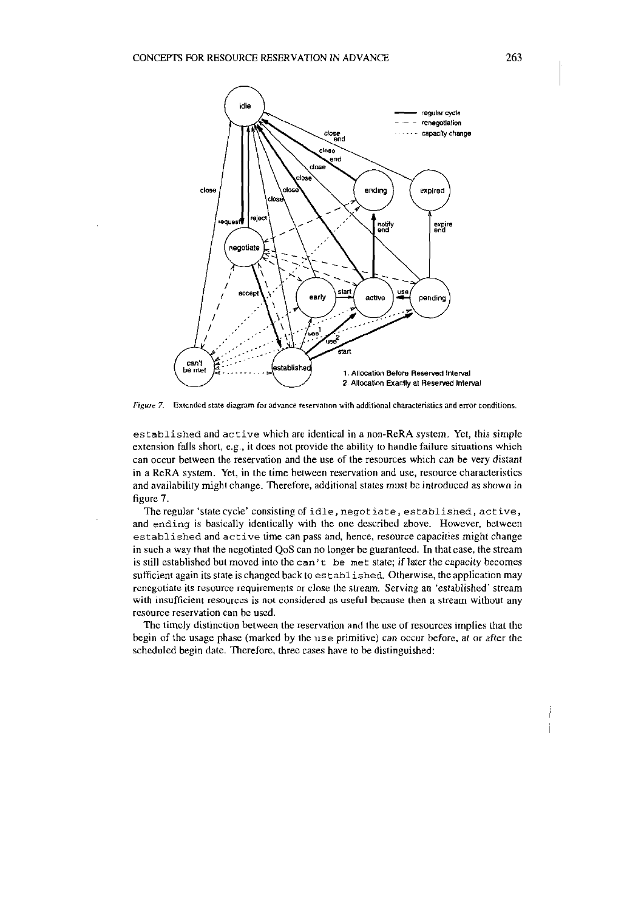

Figure 7. Extended state diagram for advance reservation with additional characteristics and error conditions.

established and active which are identical in a non-ReRA system. Yet, this simple extension falls short, e.g., it does not provide the ability to handle failure situations which can occur between the reservation and the use of the resources which can be very distant in a ReRA system. Yet, in the time between reservation and use, resource characteristics and availability might change. Therefore, additional states must be introduced as shown in figure 7.

The regular 'state cycle' consisting of idle, negotiate, established, active, and ending is basically identically with the one described above. However, between established and active time can pass and, hence, resource capacities might change in such a way that the negotiated QoS can no longer be guaranteed. In that case, the stream is still established but moved into the can't be met state; if later the capacity becomes sufficient again its state is changed back to established. Otherwise, the application may renegotiate its resource requirements or close the stream. Serving an 'established' stream with insufficient resources is not considered as useful because then a stream without any resource reservation can be used.

The timely distinction between the reservation and the use of resources implies that the begin of the usage phase (marked by the use primitive) can occur before, at or after the scheduled begin date. Therefore, three cases have to be distinguished: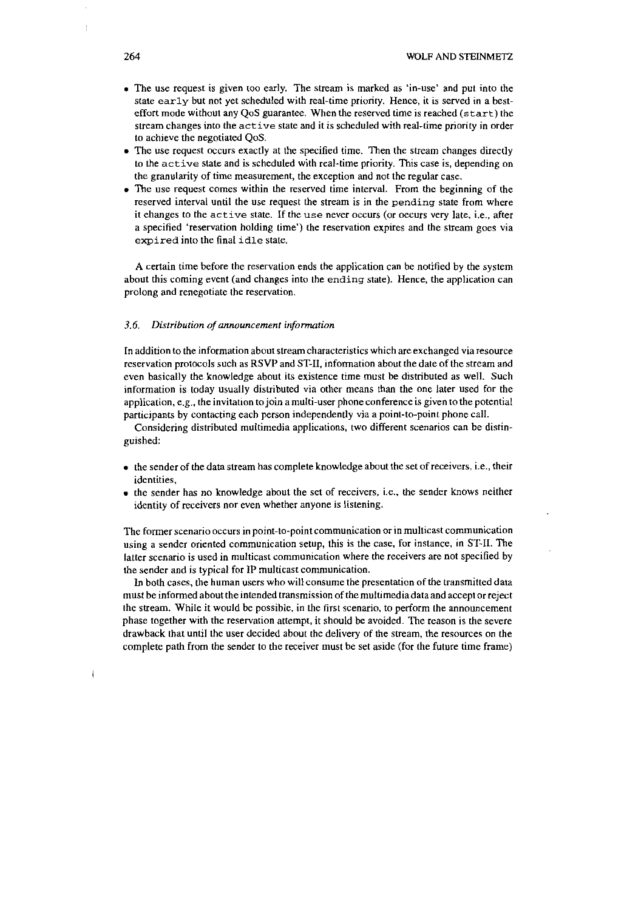- The use request is given too early. The stream is marked as 'in-use' and put into the state **early** but not yet scheduled with real-time prioriry. Hence, it is served in a besteffort mode without any QoS guarantee. When the reserved time is reached **(start)** the stream changes into the **active** state and it is scheduled with real-time pnority in order to achieve the negotiated QoS.
- The use request occurs exactly at the specified time. Then the stream changes directly to the **active** state and is scheduled with real-time priority. This case is, depending on the granularity of time measurement, the exception and not the regular case.
- . The use request Comes within the reserved time interval. From the beginning of the reserved interval until the use request the stream is in the **pending** state from where it ehanges to the **active** state. If the **use** never occurs (or oecurs very late, i.e., after a specified 'reservation holding time') the reservation expires and the stream goes via **expired** into the final **idle** state.

A certain time before the reservation ends the application can be notified by the system about this coming event (and changes into the **ending** state). Hence, the application can prolong and renegotiate the reservation.

# **3.6. Disiribution of announcemeni irformation**

In addition to the information about stream characteristics which areexchanged via resource reservation protocols such as **RSVP** and ST-11, information about the date of the stream and even basically the knowledge about its existence time must he distributed as well. Such information is today usually distributed via other means than the one later used for the application, e.g., the invitation to join a multi-user phone conference is given to the potential participants by contacting each Person independently via a point-10-point phone call.

Considering distributed multimedia applications, two different scenarios can be distinguished:

- **i** the sender of the data stream has complete knowledge about the set of receivers, i.e., their identities,
- $\bullet$  the sender has no knowledge about the set of receivers, i.e., the sender knows neither identity of receivers nor even whether anyone is listening.

The former scenario occurs inpoint-to-point communication or in multicast communication using a sender oriented communication setup, this is the case, for instance, in ST-11. The latter scenario is used in multicast communication where the receivers are not specified by the sender and is typical for **IP** multicast communication.

In both cases, the human Users who will consume the presentation of the transmitted data must he infomed about the intended transmission of themultimediadataand accept or reject ihe stream. While it would be possihle, in the first scenario, to perform the announcement phase together with the reservation attempt, it should **be** avoided. The reason is the severe drawback that until the User decided ahout the delivery of the stream, the resources on the complete path from the sender to the receiver must be set aside (for the future time frame)

 $\mathbf{I}$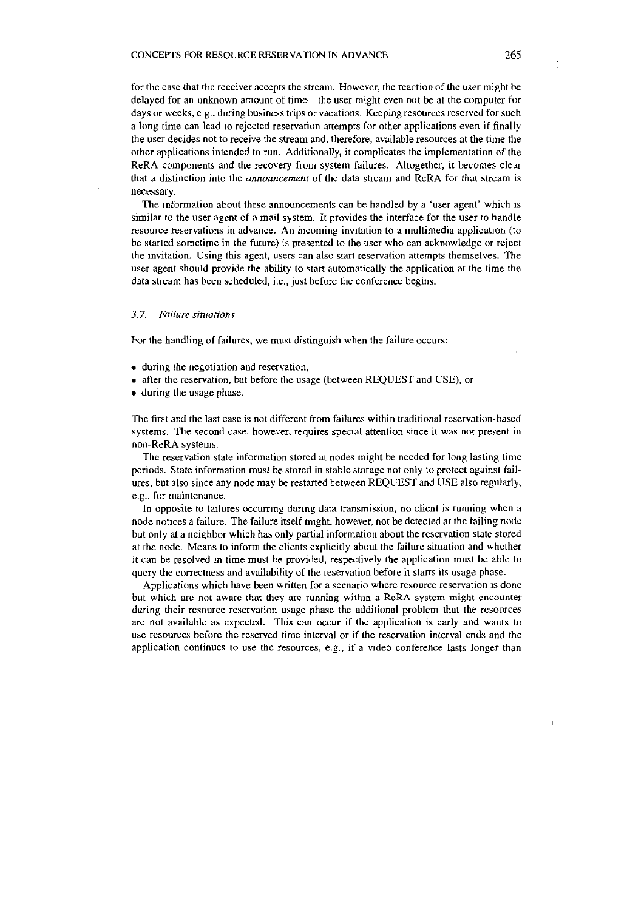for the case that the receiver accepts the stream. However, the reaction of the user might be delayed for an unknown amount of time—the user might even not be at the computer for days or weeks, e.g., during business trips or vacations. Keeping resources reserved for such a long time can lead to rejected reservation attempts for other applications even if finally the user decides not to receive the stream and, therefore, available resources at the time the other applications intended to run. Additionally. it complicates the implementation of the ReRA components and the recovery from system failures. Altogether, it becomes clear that a distinction into the **arinouncemeiir** of the data stream and ReRA for that stream is necessary.

The information about thcse announcements can be handled by a 'user agent' which is similar to the user agent of a mail system. It provides the interface for the user to handle resource reservations in advance. An incoming invitation to a multimedia application (to be started sometime in the future) is presented to the user who can acknowledge or reject the invitation. Using this agent, users can also start reservation attempts themselves. The user agent should provide the ability to start automatically the application at the time the data stream has been scheduled, i.e., just before the conference begins.

#### $37$ Failure situations

For the handling of failures, we must distinguish when the failure occurs:

- during the negotiation and reservation,
- after the reservation. but before the usage (between REQUEST and USE), or • during the negotiation a<br>• after the reservation, but<br>• during the usage phase.
- 

The first and the last case is not different from failures within traditional reservation-based Systems. The second case. however, requires special attention since it was not present in non-ReRA systems.

The reservation state information stored at nodes might be needed for long lasting time periods. State inforrnation must be stored in siable Storage not only to protect against failures. but also since any node may be restarted between REQUEST and USE also regularly, e.g., for maintenance.

In opposite to failures occurring during data transmission, no client is running when a node notices a failure. The failure itself might, however, not be detected at the failing node but only at a neighbor which has only partial inforrnation about the reservation slate stored at the node. Means to inform the clients explicitly about the failure situation and whether it can be resolved in time must be provided, respectively the application must be able to query the correctness and availability of the reservation before it starts its usage phase.

Applications which have been written for a scenario where resource reservation is done but which arc not aware that they are running within a ReRA system might encounter during their resource reservation usage phase the additional problem that the resources are not available as expected. This can occur if the application is early and wants to use resources before the reserved time interval or if the reservation interval ends and the application continues to use the resources, e.g., if a video conference lasts longer than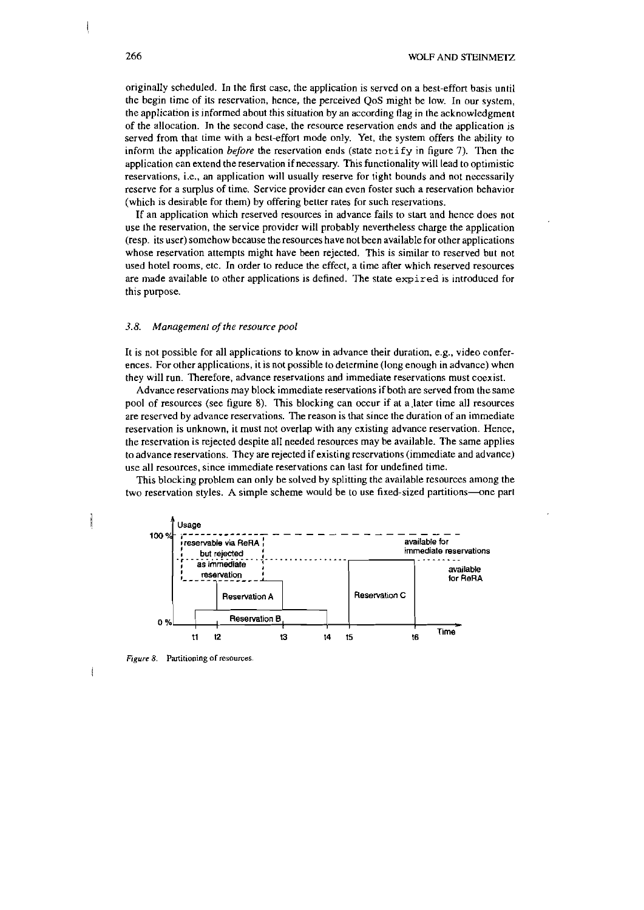originally scheduled. In the first case, the application is served an a best-effon basis until the begin time of its reservation, hence, the perceived QoS might be low. In our system, the application is informed about this situation by an according flag in the acknowledgment of the allocation. In the second case, the resource reservation ends and the application is served from that time with a best-effort mode only. Yet, the system offers the ability to inform the application *before* the reservation ends (state notify in figure 7). Then the application can extend the reservation if necessary. This functionality will lead to optimistic reservations, i.e., an application will usually reserve for light bounds and not necessarily reserve for a surplus of time. Service provider ean even foster such a reservation behavior (which is desirable for them) by offering bettet rates for such reservations.

If an application which reserved resources in advance fails to start and hence does not use the reservation, the service provider will probably nevertheless charge the application (resp. its user) somehow because the resources have not been availablefor other applications whose reservation attempts might have been rejected. This is similar to reserved but not used hotel rooms, etc. In order 10 reduce the effect, a time after which reserved resources are made available 10 other applications is defined. The state expired is introduced for this purpose.

### *3.8. Managemenr of the resource pool*

It is not possible for all applications to know in advance their duration, e.g., video conferences. For other applications, it is not possible to determine (long enough in advance) when they will run. Therefore, advance reservations and immediate reservations must coexist.

Advance reservations may block immediate reservations if both are served from the same pool of resources (see figure 8). This blocking can occur if at a.later time all resources are reserved by advance reservations. The reason is that since the duration of an immediate reservation is unknown. it must not overlap with any existing advance reservation. Hence, the reservation is rejected despite all needed resources may **he** available. The same applies to advance reservations. They are rejected if existing reservations (immediate and advance) use all resources, since immediate reservations can last for undefined time.

This blocking problem ean only be solved by splitting the available resources among the two reservation styles. A simple scheme would be to use fixed-sized partitions-one part



**Figure 8.** Partitioning of resources

B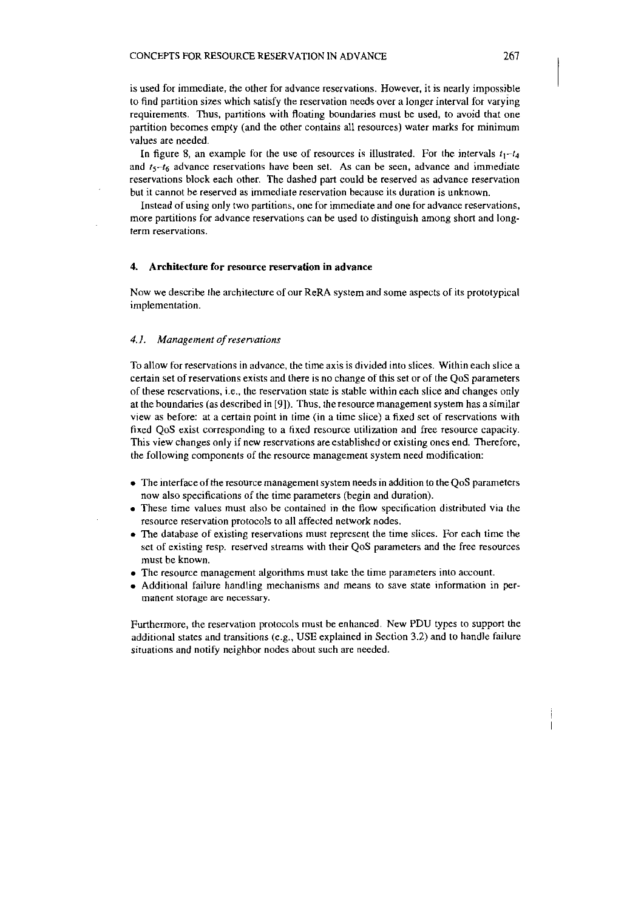is used for immediate, the other for advance reservations. However. it is nearly impossible to find partition sizes which sarisfy the reservation needs over a longer interval for varying requirements. Thus. partitions with floating boundaries must be used, to avoid that one partition becomes empty (and the other contains all resources) watet marks for minimum values are needed.

In figure 8, an example for the use of resources is illustrated. For the intervals  $t_1-t_4$ and  $t_5-t_6$  advance reservations have been set. As can be seen, advance and immediate reservations hlock each other. The dashed part could be reserved as advance reservation but it cannot be reserved as immediate reservation because its duration is unknown.

Instead of using only two partitions, one for immediate and one for advance reservations, more partitions for advance reservations can be used to distinguish among short and longterm reservations.

# **4.** Architecture for resource reservation in advance

Now we describe the architecture of our ReRA system and some aspects of its prototypical implementation.

### *4.1. Management of resen'arions*

To allow for reservations in advance, the time axis is divided into slices. Within each slice a certain set of reservations exists and there is no change of this set or of the QoS parameters of these reservations, i.e., the reservation state is stable within each slice and changes only at the houndaries (as described in **[9]).** Thus. theresource management system has a similar view as before: at a certain point in time (in a time slice) a fixed set of reservations with fixed QoS exist corresponding to a tixed resource utilization and free resource capacity. This view changes only if new reservations are established or existing ones end. Therefore, the following components of the resource management system need modification:

- The interface of the resource management system needs in addition to the QoS parameters now also specifications of the time parameters (begin and duration).
- . These time values must also be contained in the flow specification distributed via the resource reservation protocols to all affected network nodes.
- . The database of existing reservations must represent the time siices. For each time the set of existing resp. reserved streams with their QoS parameters and the free resources must be known.
- . The resource management algorithms must take the time parameters into account.
- . Additional failure handling mechanisms and means to save state information in permanent storage are necessary.

Furthermore, the reservation protocols must be enhanced. New PDU types to support the additional states and transitions (e.g.. USE explained in Section 3.2) and to handle failure situations and notify neighbor nodes about such are needed.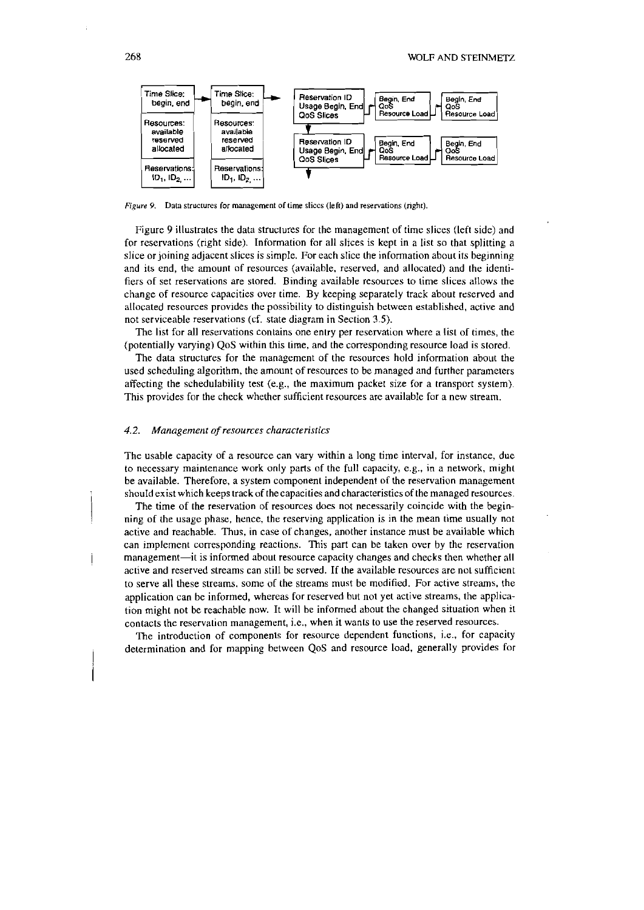

**Figure** *9.* **Data** structures **for management of time** sliccs **(lefl) and reservations (righr).** 

Figure 9 illustrates the data struclures for the management of time slices (left side) and for reservations (right side). Information for all slices is kept in a list so that splitting a slice or joining adjacent slices is simple. For each slice the information about its beginning and its end, the amount of resources (available, reserved, and allocated) and the identifiers of set reservations are stored. Binding available resources to time slices allows the change of resource capacities over time. By keeping separately track about reserved and allocated resources provides the possibility to distinguish between established, activc and not serviceable reservations (cf. state diagram in Section **3.5).** 

The list for all reservations conlains one entry per reservation where a list of times, the (potentially varying) QoS within this time, and the corresponding resource load is stored.

The data structures for the management of the resources hold information about the used scheduling algorithm, the amount of resources to be managed and further parameters affecting the schedulability test (e.g., the maximum packet size for a transport system). This provides for the check whether sufficient resources are available for a new stream.

### *4.2. Management of resources characterisrics*

The usable capacity of a resource can vary within a long time interval, for instance, due to necessary maintenance work only parts of the full capacity, e.g., in a network, might be available. Therefore, a system component independent of the reservalion management should exist which keeps track of thecapacities and characteristics of the managed resources.

The time of the reservation of resources does not necessarily coincide with the begin ning of the usage phase, hence, the reserving application is in the mean time usually not active and reachable. Thus, in case of changes, another instance must be available which can implement corresponding reactions. This part can be taken over by the reservation management—it is informed about resource capacity changes and checks then whether all active and reserved streams can still be served. If the available resources are not sufficient to serve all these streams. some of the sttcams must be modified. For active streams. the application can be informed, whereas for reserved but not yet active streams, the application might not be reachable now. It will be informed about the changed situation when it contacts the reservation management, i.e., when it wants to use the reserved resources.

The introduction of components for resource dependent functions, i.e., for capacity ! determination and for mapping between QoS and resource load, generally provides for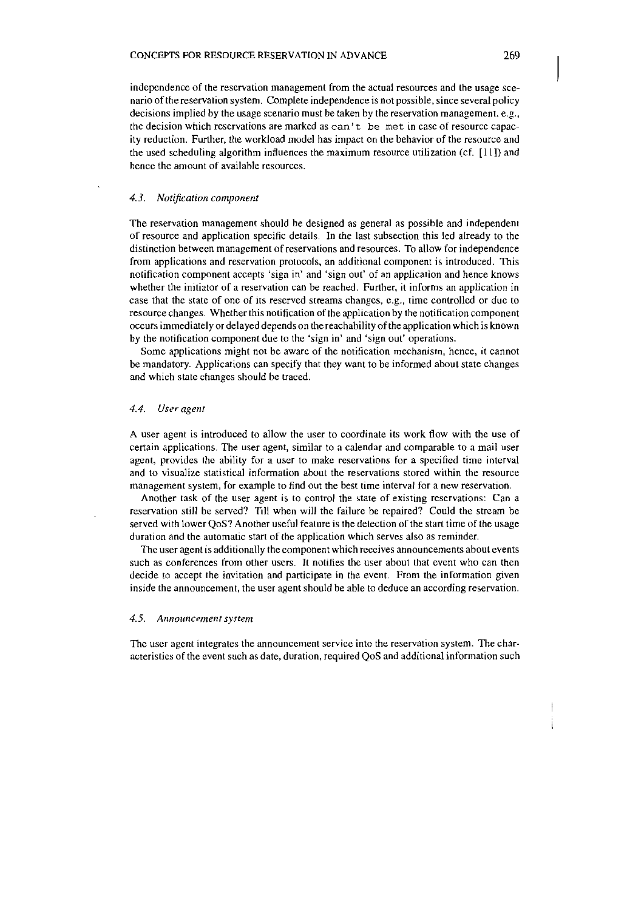ity reduction. Further, the workload model has impact on the behavior of the resource and the used scheduling algorithm influences the maximum resource utilization (cf. [I I]) and hence the amount of available resources.

#### **4.3. Nofificarion componenf**

The reservation management should be designed as general as possible and independent of resource and application specific details. In the last subsection this led already to the distinction between management of reservations and resources. To allow for independence from applications and reservation protocols, an additional component is introduced. This notification component accepts 'sign in' and 'sign out' of an application and hence knows whether the initiator of a reservation can be reached. Further, it informs an application in case that the state of one of its reserved streams changes, e.g., time controlled or due to resource changes. Whether this notification of the application by the notification component occurs immediately or delayed depends on thereachability of the application which is known by the notification component due to the 'sign in' and 'sign out' operations.

Some applications might not be aware of the notification mechanisrn, hence, it cannot be mandatory. Applications can specify that they Want to be informed about state changes and which state changes should be traced.

### 4.4. **User agenl**

A User agent is introduced to allow the User to coordinate its work flow with the use of certain applications. The user agent, similar to a calendar and comparable to a mail user agent, provides the ability for a user to make reservations for a specified time interval and to visualize statistical information about the reservations stored within the resource management system, for example to find out the best time interval for a new reservation.

Another task of the User agent is to control the state of existing reservations: Can a reservation still be served? Till when will the failure be repaired? Could the stream be served with lower QoS? Another useful feature is the detection of the start time of the usage duration and the automatic start of the application which serves also as reminder.

The user agent is additionally the component which receives announcements about events such as conferences from other users. It notifies the user about that event who can then decide to accept the invitation and participate in the event. From the information given inside the announcement, the user agent should be able to deduce an according reservation.

#### **4.5.** Announcement system

The user agent integrates the announcement service into the reservation system. The characteristics of the event such as date, duration, required QoS and additional information such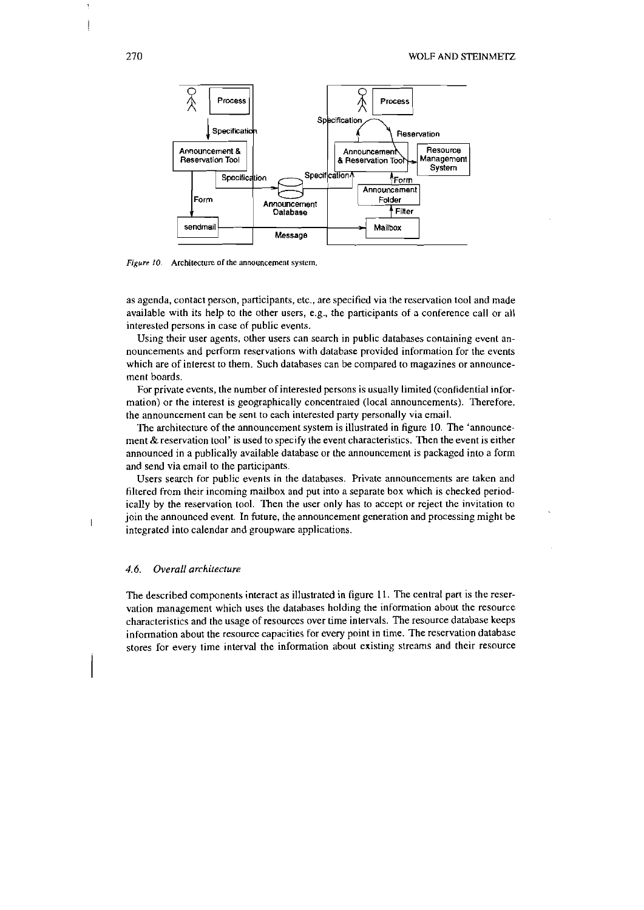

*Figure 10.* Architecture of the announcement system,

as agenda, contact person, participants, etc., are specified via the reservation tool and made available with its help to the other users, e.g.. the participants of **a** conference call or all interested persons in case of public events.

Using their user agents, other users can search in public databases containing event announcements and perform reservations with database provided information for the events which are of interest to them. Such databases can be compared to magazines or announcement boards.

For private events, the number of interested persons is usually limited (confidential information) or the interest is geographically concentrated (local announcements). Therefore, the announcement can be sent to each interested party personally via email.

The architecture of the announcement system is illustrated in figure 10. The 'announcement & reservation tool' is used to specify the event characteristics. Then the event is either announced in a publically available database or the announcement is packaged into a form and send via email to the participants.

Users search for public events in the databases. Private announcements are taken and filtered from their incoming mailbox and put into a separate box which is checked periodically by the reservation tool. Then the User only has to accept or reject the invitation to join the announced event. In future, the announcement generation and processing might be integrated into calendar and groupware applications.

# *4.6. Overall architecture*

The described components interact as illustrated in figure 11. The central part is the reservation management which uses the databases holding the information about the resource characteristics and the usage of resources over time intervals. The resource database keeps information about the resource capacities for every point in time. The reservation database stores for every time interval the information about existing streams and their resource

270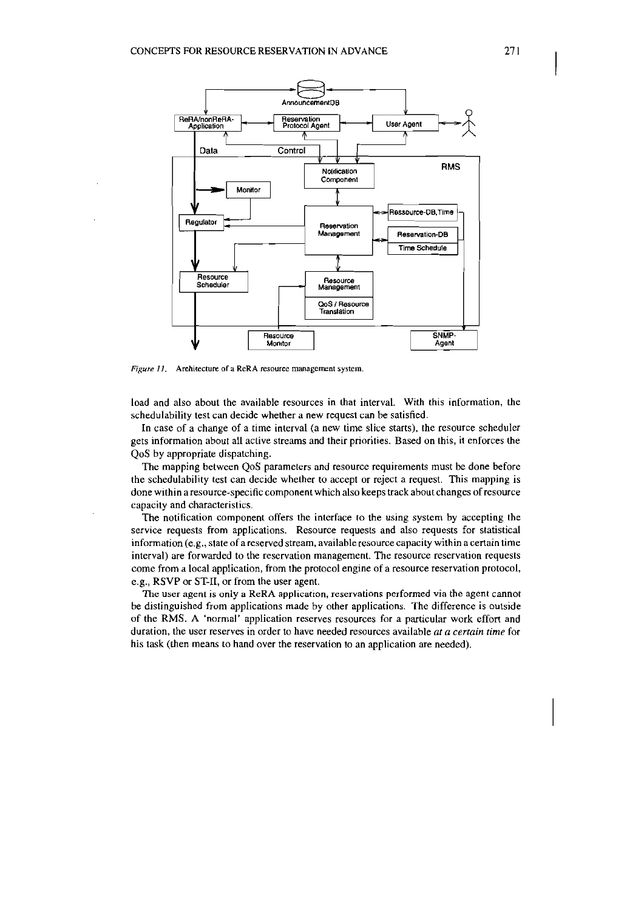

*Figure 11.* Architecture of a ReRA resource management system.

load and also about the available resources in that interval. With this information, the schedulability test can decide whether a new request can he satisfied.

In case of a change of a time interval (a new time slice starts), the resource scheduler gets information ahout all active streams and their priorities. Based on this, it enforces the QoS by appropriate dispatching.

The mapping between QoS parameters and resource requirements must be done before the schedulability test can decide whether to accept or reject a request. This mapping is done within aresource-specific component which also keeps track ahout changes of resource capacity and characteristics.

The notification component offers the interface to the using system by accepting ihe service requests from applications. Resource requests and also requests for statistical information (e.g., state of a reserved stream, available resource capacity within a certain time interval) are forwarded to the reservation management. The resource reservation requests come from a local application, from the protocol engine of a resource reservation protocol, e.g., **RSVP** or ST-11, or from the User agent.

*The* User agent is only a **ReRA** application, reservations performed via the agent cannoi be distinguished from applications made by other applications. The difference is outside of the RMS. A 'normal' application reserves resources for a particular work effon and duration, the User reserves in order to have needed resources availahle *at a certain time* for his task (then means to hand over the reservation to an application are needed).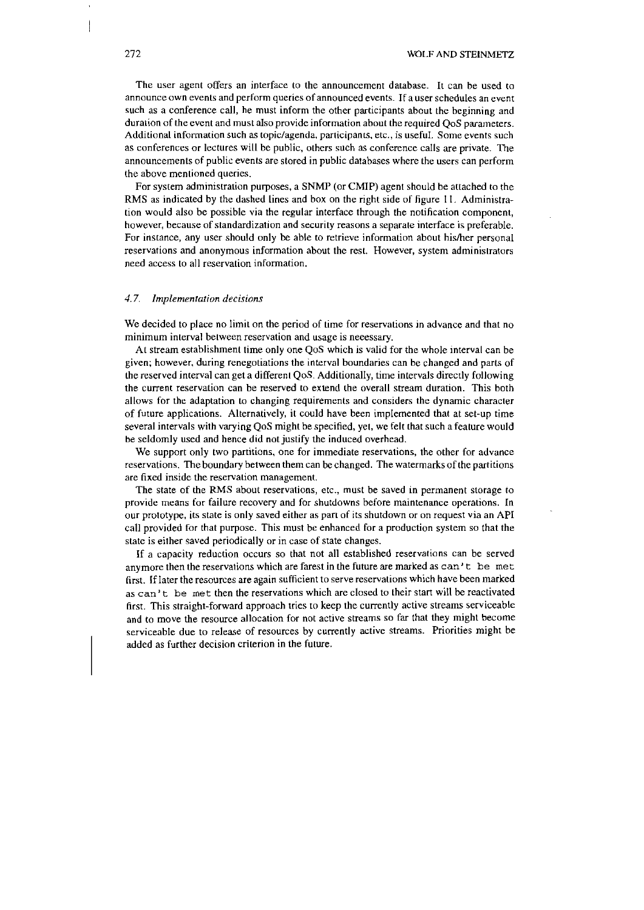The user agent offers an interface to the announcement database. It can be used to announce own events and perform queries of announced events. If a User schedules an event such as a conference call, he must inform the other participants about the beginning and duration of the event and must also provide information about the required OoS parameters. Additional information such as topic/agenda, participants, etc., is useful. Some events such as conferences or lectures will be public, others such as conference calls are private. The announcements of public events are stored in public databases where the users can perform the above meniioned queries.

For system administration purposes. a SNMP (or CMIP) agent should be attached to the RMS as indicated by the dashed lines and box on the right side of figure 11. Administration would also be possible via the regular interface through the notification component, however, because of standardization and security reasons a separate interface is preferable. For instance, any user should only be able to retrieve information about his/her personal reservations and anonymous information about the rest. However, system adminisirators need access to all reservation information.

# *4.7 Implemenration decisions*

We decided to place no limit on the period of time for reservations in advance and that no minimum interval beiween reservation and usage is neeessary.

At stream establishment time only one QoS which is valid for the whole interval can be given; however. during renegotiations the interval boundaries can be changed and parts of the reserved interval can get a different QoS. Additionally, time intervals directly following the current reservation can be reserved to extend the overall stream duration. This both allows for the adaptation to changing requirements and considers the dynamic character of future applications. Alternatively, it could have been implemented that at set-up time several intervals with varying QoS might be specified, yet, we felt that such a feature would be seldomly used and hence did not justify the induced overhead.

We support only two partitions, one for immediate reservations, the other for advance reservations. The boundary beiween them can be changed. The watermarksof the partitions are fixed inside the reservation management.

The state of the RMS about reservations, etc., must be saved in permanent storage to provide means for failure recovery and for shutdowns before maintenance operations. In our prototype. its state is only saved either as part of its shutdown or on request via an API call provided for that purpose. This must bc enhanced for a production system so that the state is either saved periodically or in case of state changes.

If a capacity reduction occurs so that not all established reservations can be served anymore then the reservations which are farest in the future are marked as can' **t be met**  first. If later the resources are again sufficient to serve reservations which have been marked as can' **t be met** then the reservations which are closed to iheir stan will be reactivated first. This straight-forward approach tries to keep the currently active streams serviceable and to move the resource allocation for not active streams so far that they might become serviceable due to release of resources by currently active streams. Priorities might be added as further decision criterion in the future.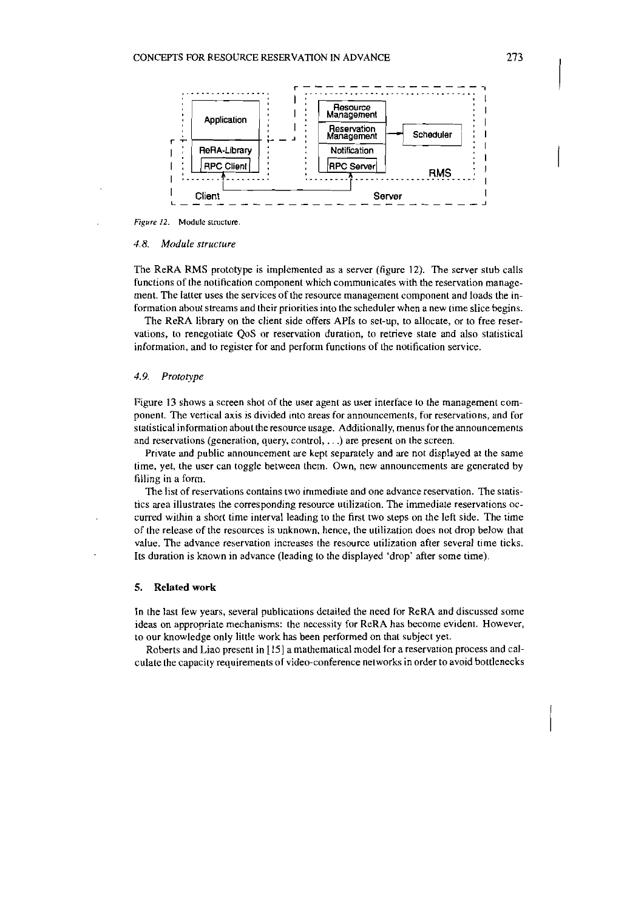

### Figure 12. Module structure

#### Module structure  $4.8^{\circ}$

The ReRA RMS prototype is implemented as a server (figure 12). The server stub calls functions of the notification component which communicates with the reservation management. The latter uses the services of the resource management component and loads the information about streams and their priorities into the scheduler when a new time slice begins.

The ReRA library on the client side offers APIs to set-up, to allocate, or to free reservations, to renegotiate QoS or reservation duration, to retrieve state and also statistical information, and to register for and perform functions of the notification service.

#### 4.9. Prototype

Figure 13 shows a screen shot of the user agent as user interface to the management component. The vertical axis is divided into areas for announcements, for reservations, and for statistical information about the resource usage. Additionally, menus for the announcements and reservations (generation, query, control,  $\ldots$ ) are present on the screen.

Private and public announcement are kept separately and are not displayed at the same time, yet, the user can toggle between them. Own, new announcements are generated by filling in a form.

The list of reservations contains two immediate and one advance reservation. The statistics area illustrates the corresponding resource utilization. The immediate reservations occurred within a short time interval leading to the first two steps on the left side. The time of the release of the resources is unknown, hence, the utilization does not drop below that value. The advance reservation increases the resource utilization after several time ticks. Its duration is known in advance (leading to the displayed 'drop' after some time).

#### 5. **Related work**

In the last few years, several publications detailed the need for ReRA and discussed some ideas on appropriate mechanisms: the necessity for ReRA has become evident. However, to our knowledge only little work has been performed on that subject yet.

Roberts and Liao present in  $[15]$  a mathematical model for a reservation process and calculate the capacity requirements of video-conference networks in order to avoid bottlenecks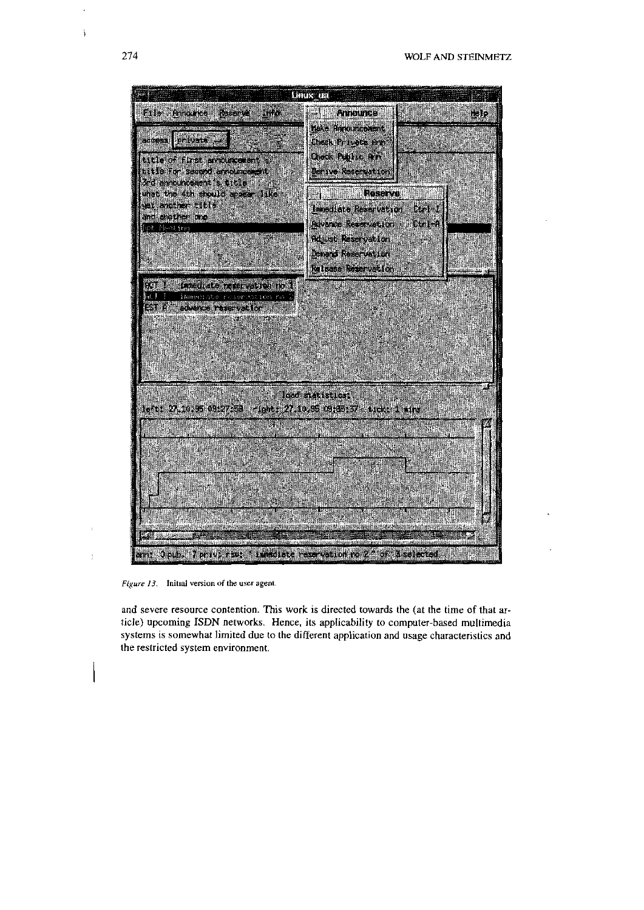

*Figure 13.* Initial version of the user agent.

**and severe resource contention. This work is directed towards the (at the time of that article) upcoming ISDN networks. Hence, its applicability to computer-based multimedia Systems is somewhat limited due to the different application and usage characteristics and the restricted system environment.**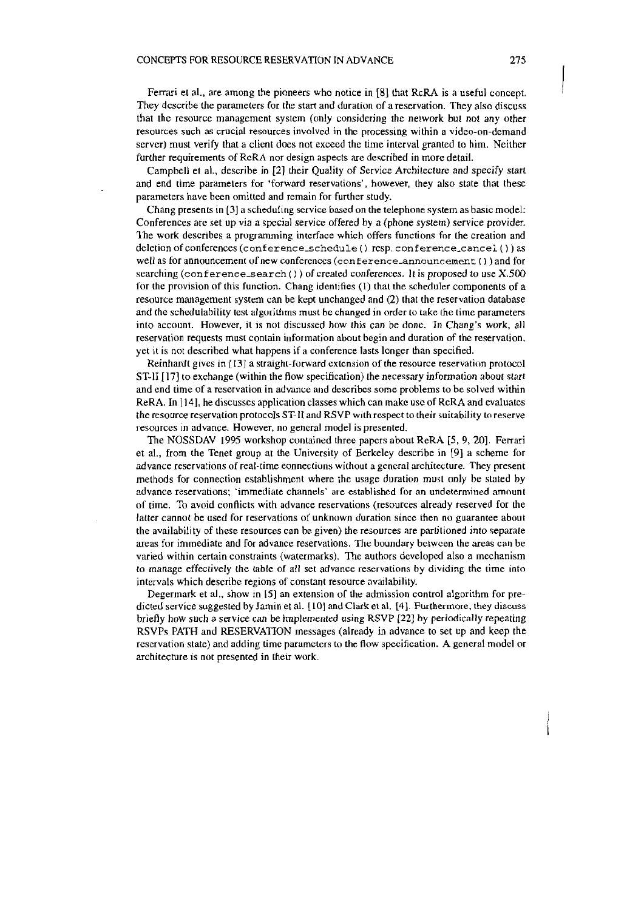Ferrari et al., are among the pioneers who notice in [8] that RcRA is a useful concept. They dcscribe the parameters for the stari and duration of areservation. They also discuss that the resource management system (only considering the network but not any other resources such **as** crucial resources involved in the processing within a video-on-demand server) must verify that a client does not exceed the time interval granted to him. Neither further requirements of RcRA nor design aspects are described in more detail.

Campbell et al., describe in **[2]** their Quality of Service Architecture and specify start and end time parameters for 'forward reservations', however, they also state that these parameters have been omitted and remain for further study.

Chang presents in (31 a scheduling scrvice based on the telephone system as basic model: Conferences are set up via a special service offered by a (phone system) service provider. The work describes a programming interface which offers functions for the creation and deletion of conferences (conference.schedule ( i resp. conference\_cancel ( ) ) as well as for announcement of new conferences (conference\_announcement ()) and for searching (conference-search ()) of created conferences. It is proposed to use X.500 lor the provision of this function. Chang identifies (1) that the scheduler components of a resource management system can be kept unchanged and (2) that the reservation database and the schedulability test algorithms must be changed in order to take the time parameters into account. However, it is not discussed how this can be done. In Chang's work, all reservation requests must contain information about begin and duration of the reservation. yet it is not described what happens if a conference lasts longer than specified.

Reinhardt gives in [I31 a straight-furward extcnsion of the resource reservation protocol ST-II [17] to exchange (within the flow specification) the necessary information about start and end time of a reservation in advance and describes some problems to be solved within ReRA. In [ 141, he discusses application classes which can make use of ReRA and evaluates the resource reservation protocols ST-I1 and RSVP with rcspect to their suitability to reserve resources in advance. However, no general model is presented.

The NOSSDAV 1995 workshop contained three papers about ReRA [5, 9, 20]. Ferrari et al., from the Tenet group at the University of Berkeley describe in [9] a scheme for advance reservations of real-time connections without a general architecture. They present methods for connection establishment where the usage duration must only be stated by advance reservations; 'immediate channels' are establishcd for an undetermined amnunt oi' time. To avoid conflicts with advance reservations (resources already reserved for the latter cannot be used for reservations of unknown duration since then no guarantee about the availability of these resources can be given) the resources are partitioned into separate areas for immediate and for advance reservations. The boundary between the areas can be varied within certain constraints (watermarks). The authors developed also a mechanism to manage effectively the table of all set advance reservations by dividing the time into intervals which describe regions of constant resource availability.

Degermark et al., show in [5] an extension of the admission control algorithm for predicted service suggested by Jamin et al.  $[10]$  and Clark et al.  $[4]$ . Furthermore, they discuss briefly how such a service can be implemented using RSVP [22] by periodically repeating RSVPs PATH and RESERVATION messages (already in advance to set up and keep the reservation state) and adding time parameters to the flow specification. A general model or architecture is not presented in their work.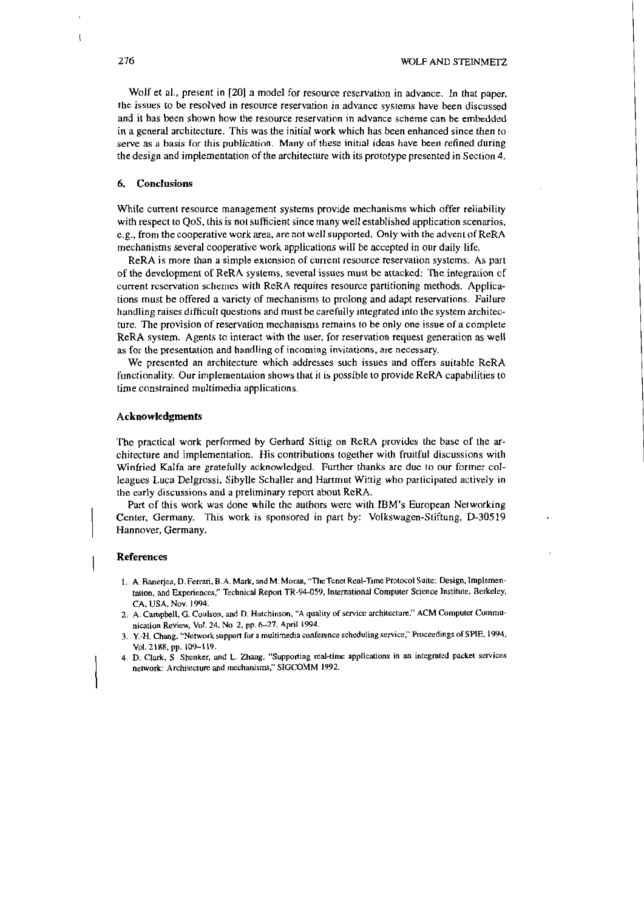Wolf et al., present in [20] a model for resource reservation in advance. In that paper, the issues to be resolved in resource reservation in advance systems have been discussed and it has been shown how the resource reservation in advance scheme can be ernbcdded in a general architecture. This was the initial work which has been enhanced since then to serve as a basis for this publication. Many of these initial ideas have been refined during the design and implementation of the architecture with its prototype presented in Section 4.

# 6. Conclusions

While current resource management systems provide mechanisms which offer reliability with respect to QoS, this is not sufficient since many well established application scenarios. e.g., from the cooperative work area. are not well supported. Only with the adveni of ReRA mechanisms several cooperative work applications will be accepted in our daily life.

ReRA is rnore than a simple extension of cunent resource reservation systems. As part of the development of ReRA systems, several issues must be attacked: The integration of current reservation schemes with ReRA requires resource partitioning methods. Applications must be offered a variety of mechanisms to prolong and adapt resewations. Failure handling raises difficult questions and must be carefully integrated into the system architecture. The provision of reservation mechanisms remains io be only one issue of a complelc ReRA system. Agents to interact with the user, for reservation request generation as well as for the presentation and handling of incoming invitations, are neccssary.

We presented an architecture which addresses such issues and offers suitable ReRA functionality. Our implementation shows that it is possible to provide ReRA capabilities to time constrained multimedia applications.

# Acknowledgments

The practical work perforrned by Gerhard Sittig on RcRA provides the base of the architecture and implementation. His contributions together with fruitful discussions with Winfried Kalfa are gratefully acknowledged. Funher thanks are due to our former colleagues Luca Delgrossi, Sibylle Schaller and Hartmut Wittig who participated actively in the early discussions and **a** preliminary report about ReRA.

Part of this work was done while the authors were with IBM's European Networking<br>Center, Germany. This work is sponsored in part by: Volkswagen-Stiftung, D-30519<br>Hannover, Germany. Cenier, Gerrnany. This work is sponsored in part by: Volkswagen-Stiftung, D-30519 Hannover, Germany.

### **References**

- I. A. Banerjea, D. Ferrari, B.A. Mark, and M. Moran, "The Tenet Real-Time Protocol Suite: Design, Implementation, and Experiences," Technical Report TR-94-059, International Computer Science Institute, Berkeley, CA. USA. **NOV** 1994
- 2. A. Campbell, G. Coulson, and D. Hutchinson, "A quality of service architecture," ACM Computer Communicaiion Review. Vo1. 24. **No** 2, pp **6-27,** April 1994.
- **3.** Y-H. Chang, **"Nework** suppon **ior a** multimedia **conference** scheduling service:' Proceedings of SPIE. 1994. Vol.2188,pp. 109-119.
- I 4. D. Clark, S Shenker, md L. Zhang. "Supparting real-time applications in **an** integnted packet services network: Architecture and mechanisms," SIGCOMM 1992.

 $\mathbf{I}$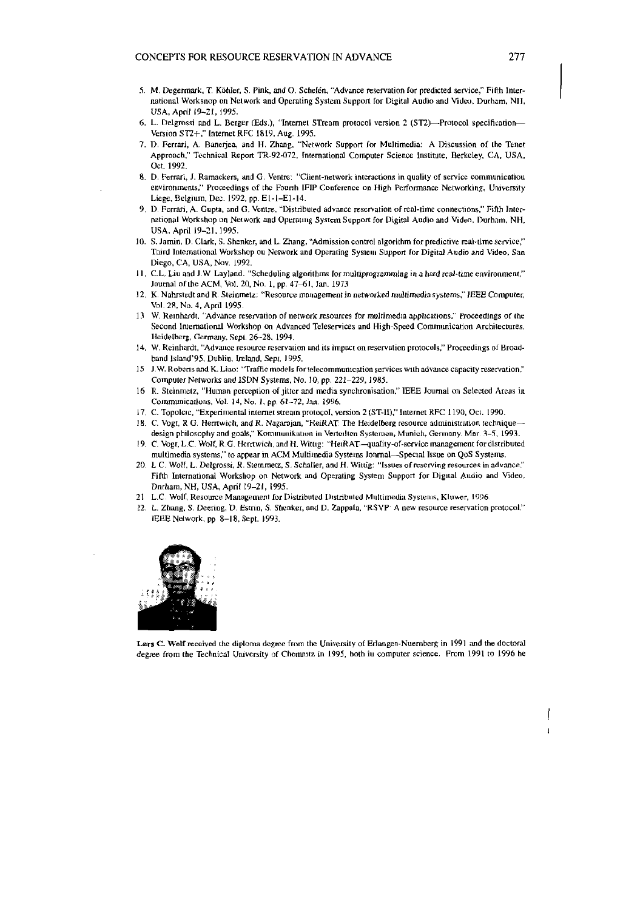- 5. M. Degermark, T. Köhler, S. Pink, and O. Schelén, "Advance reservation for predicted service," Fifth International Worksnop on Network and Operating System Support for Digital Audio and Video, Durham, NH, USA, April 19-21, 1995.
- 6. L. Delgrossi and L. Berger (Eds.), "Internet STream protocol version 2 (ST2)-Protocol specification-Version ST2+," Internet RFC 1819, Aug. 1995.
- 7. D. Ferrari, A. Banerjea, and H. Zhang, "Network Support for Multimedia: A Discussion of the Tenet Approach," Technical Report TR-92-072, International Computer Science Institute, Berkeley, CA, USA, Oct 1992
- 8. D. Ferrari, J. Ramaekers, and G. Ventre: "Client-network interactions in quality of service communicatiou environments," Proceedings of the Fourth IFIP Conference on High Performance Networking, University Liege, Belgium, Dec. 1992, pp. E1-1-E1-14.
- 9. D. Ferrari, A. Gupta, and G. Ventre, "Distributed advance reservation of real-time connections," Fifth International Workshop on Network and Operating System Support for Digital Audio and Video, Durham, NH, USA. April 19-21, 1995.
- 10. S. Jamin, D. Clark, S. Shenker, and L. Zhang, "Admission control algorithm for predictive real-time service," Third International Workshop ou Network and Operating System Support for Digital Audio and Video, San Diego, CA, USA, Nov. 1992.
- 11. C.L. Liu and J.W Layland. "Scheduling algorithms for multiprogramming in a hard real-time environment," Journal of the ACM, Vol. 20, No. 1, pp. 47-61, Jan. 1973
- 12. K. Nahrstedt and R. Steinmetz: "Resource management in networked multimedia systems," IEEE Computer, Vol. 28, No. 4, April 1995.
- W. Reinhardt, "Advance reservation of network resources for multimedia applications," Proceedings of the Second International Workshop on Advanced Teleservices and High-Speed Communication Architectures, Heidelberg, Germany, Sept. 26-28, 1994.
- 14. W. Reinhardt, "Advance resource reservation and its impact on reservation protocols," Proceedings of Broadband Island'95, Dublin, Ireland, Sept. 1995.
- 15 J.W. Roberts and K. Lino: "Traffic models for telecommunication services with advance capacity reservation." Computer Networks and ISDN Systems, No. 10, pp. 221-229, 1985.
- 16 R. Steinmetz, "Human perception of jitter and media synchronisation," IEEE Journal on Selected Areas in Communications, Vol. 14, No. 1, pp. 61-72, Jan. 1996.
- 17. C. Topolcic, "Experimental internet stream protocol, version 2 (ST-II)," Internet RFC 1190, Oct. 1990.
- 18. C. Vogt, R. G. Herrtwich, and R. Nagarajan, "HeiRAT: The Heidelberg resource administration techniquedesign philosophy and goals," Kommunikation in Verteilten Systemen, Munich, Germany. Mar. 3-5, 1993.
- 19. C. Vogt, L.C. Wolf, R.G. Herrtwich, and H. Wittig: "HeiRAT-quality-of-service inanagement for distributed multimedia systems," to appear in ACM Multimedia Systems Jonrnal—Special Issue on QoS Systems.
- 20. L.C. Wolf, L. Delgrossi, R. Stemmetz, S. Schaller, and H. Wittig: "Issues of reserving resources in advance," Fifth International Workshop on Network and Operating System Support for Digital Audio and Video. Darham NH USA Anril 19-21 1995
- L.C. Wolf, Resource Management for Distributed Distributed Multimedia Systems, Kluwer, 1996. 21
- 22. L. Zhang, S. Deering, D. Estrin, S. Shenker, and D. Zappala, "RSVP' A new resource reservation protocol." IEEE Network, pp 8-18, Sept. 1993.



Lars C. Wolf received the diploma degree from the University of Erlangen-Nuemberg in 1991 and the doctoral degree from the Technical University of Chemnitz in 1995, both iu computer science. From 1991 to 1996 he